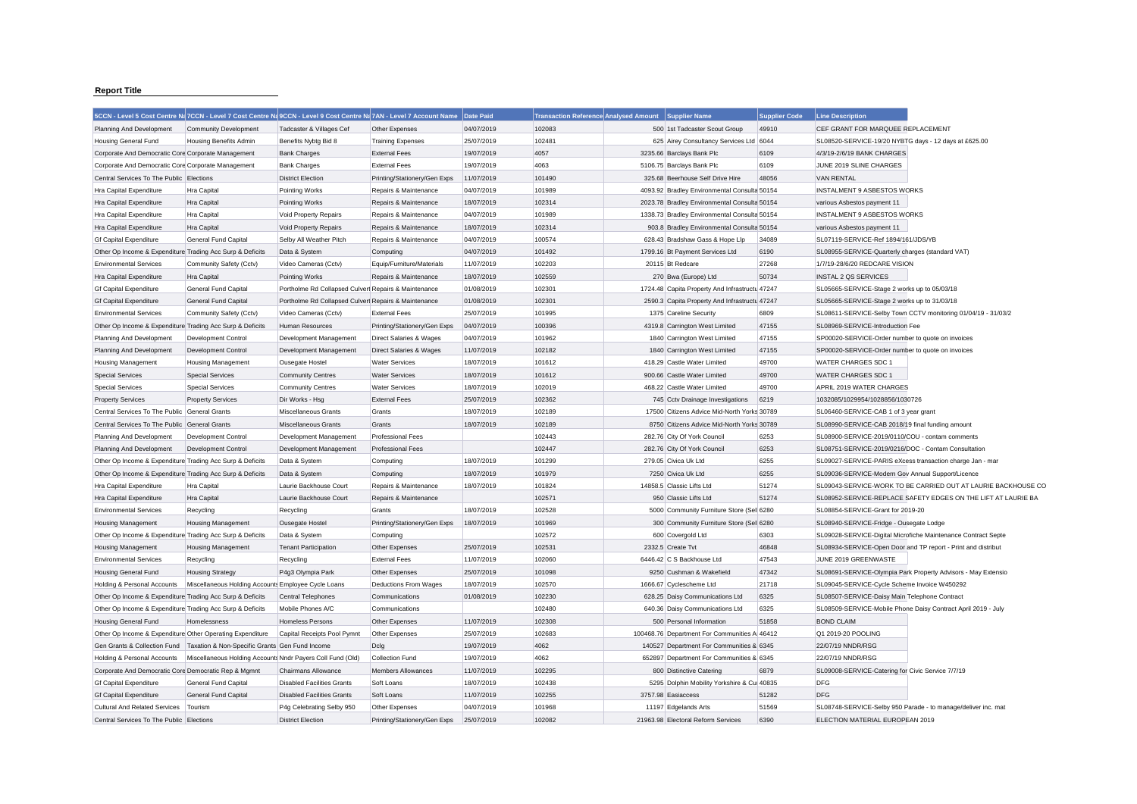## **Report Title**

|                                                           |                                                            | 5CCN - Level 5 Cost Centre Na 7CCN - Level 7 Cost Centre Na 9CCN - Level 9 Cost Centre Na 7AN - Level 7 Account Name Date Paid |                                |            | <b>Transaction Reference Analysed Amount</b> | <b>Supplier Name</b>                                                            | <b>Supplier Code</b> | <b>Line Description</b>                                       |                                                               |
|-----------------------------------------------------------|------------------------------------------------------------|--------------------------------------------------------------------------------------------------------------------------------|--------------------------------|------------|----------------------------------------------|---------------------------------------------------------------------------------|----------------------|---------------------------------------------------------------|---------------------------------------------------------------|
| Planning And Development                                  | <b>Community Development</b>                               | Tadcaster & Villages Cef                                                                                                       | Other Expenses                 | 04/07/2019 | 102083                                       | 500 1st Tadcaster Scout Group                                                   | 49910                | CEF GRANT FOR MARQUEE REPLACEMENT                             |                                                               |
| <b>Housing General Fund</b>                               | <b>Housing Benefits Admin</b>                              | Benefits Nybtg Bid 8                                                                                                           | <b>Training Expenses</b>       | 25/07/2019 | 102481                                       | 625 Airey Consultancy Services Ltd 6044                                         |                      | SL08520-SERVICE-19/20 NYBTG days - 12 days at £625.00         |                                                               |
| Corporate And Democratic Core Corporate Management        |                                                            | <b>Bank Charges</b>                                                                                                            | <b>External Fees</b>           | 19/07/2019 | 4057                                         | 3235.66 Barclays Bank Plc                                                       | 6109                 | 4/3/19-2/6/19 BANK CHARGES                                    |                                                               |
| Corporate And Democratic Core Corporate Management        |                                                            | <b>Bank Charges</b>                                                                                                            | <b>External Fees</b>           | 19/07/2019 | 4063                                         | 5106.75 Barclays Bank Plc                                                       | 6109                 | JUNE 2019 SLINE CHARGES                                       |                                                               |
| Central Services To The Public Elections                  |                                                            | <b>District Election</b>                                                                                                       | Printing/Stationery/Gen Exps   | 11/07/2019 | 101490                                       | 325.68 Beerhouse Self Drive Hire                                                | 48056                | <b>VAN RENTAL</b>                                             |                                                               |
| Hra Capital Expenditure                                   | Hra Capital                                                | Pointing Works                                                                                                                 | Repairs & Maintenance          | 04/07/2019 | 101989                                       | 4093.92 Bradley Environmental Consulta 50154                                    |                      | INSTALMENT 9 ASBESTOS WORKS                                   |                                                               |
| Hra Capital Expenditure                                   | <b>Hra</b> Capital                                         | <b>Pointing Works</b>                                                                                                          | Repairs & Maintenance          | 18/07/2019 | 102314                                       | 2023.78 Bradley Environmental Consulta 50154                                    |                      | various Asbestos payment 11                                   |                                                               |
| Hra Capital Expenditure                                   | Hra Capital                                                | Void Property Repairs                                                                                                          | Repairs & Maintenance          | 04/07/2019 | 101989                                       | 1338.73 Bradley Environmental Consulta 50154                                    |                      | <b>INSTALMENT 9 ASBESTOS WORKS</b>                            |                                                               |
| Hra Capital Expenditure                                   | <b>Hra Capital</b>                                         | Void Property Repairs                                                                                                          | Repairs & Maintenance          | 18/07/2019 | 102314                                       | 903.8 Bradley Environmental Consulta 50154                                      |                      | various Asbestos payment 11                                   |                                                               |
| Gf Capital Expenditure                                    | General Fund Capital                                       | Selby All Weather Pitch                                                                                                        | Repairs & Maintenance          | 04/07/2019 | 100574                                       | 628.43 Bradshaw Gass & Hope Llp                                                 | 34089                | SL07119-SERVICE-Ref 1894/161/JDS/YB                           |                                                               |
| Other Op Income & Expenditure Trading Acc Surp & Deficits |                                                            | Data & System                                                                                                                  | Computing                      | 04/07/2019 | 101492                                       | 1799.16 Bt Payment Services Ltd                                                 | 6190                 | SL08955-SERVICE-Quarterly charges (standard VAT)              |                                                               |
| <b>Environmental Services</b>                             | Community Safety (Cctv)                                    | Video Cameras (Cctv)                                                                                                           | Equip/Furniture/Materials      | 11/07/2019 | 102203                                       | 20115 Bt Redcare                                                                | 27268                | 1/7/19-28/6/20 REDCARE VISION                                 |                                                               |
| Hra Capital Expenditure                                   | <b>Hra Capital</b>                                         | <b>Pointing Works</b>                                                                                                          | Repairs & Maintenance          | 18/07/2019 | 102559                                       | 270 Bwa (Europe) Ltd                                                            | 50734                | <b>INSTAL 2 QS SERVICES</b>                                   |                                                               |
| Gf Capital Expenditure                                    | <b>General Fund Capital</b>                                | Portholme Rd Collapsed Culverl Repairs & Maintenance                                                                           |                                | 01/08/2019 | 102301                                       | 1724.48 Capita Property And Infrastructu 47247                                  |                      | SL05665-SERVICE-Stage 2 works up to 05/03/18                  |                                                               |
| <b>Gf Capital Expenditure</b>                             | General Fund Capital                                       | Portholme Rd Collapsed Culverl Repairs & Maintenance                                                                           |                                | 01/08/2019 | 102301                                       | 2590.3 Capita Property And Infrastructu 47247                                   |                      | SL05665-SERVICE-Stage 2 works up to 31/03/18                  |                                                               |
| <b>Environmental Services</b>                             | Community Safety (Cctv)                                    | Video Cameras (Cctv)                                                                                                           | <b>External Fees</b>           | 25/07/2019 | 101995                                       | 1375 Careline Security                                                          | 6809                 | SL08611-SERVICE-Selby Town CCTV monitoring 01/04/19 - 31/03/2 |                                                               |
| Other Op Income & Expenditure Trading Acc Surp & Deficits |                                                            | <b>Human Resources</b>                                                                                                         | Printing/Stationery/Gen Exps   | 04/07/2019 | 100396                                       | 4319.8 Carrington West Limited                                                  | 47155                | SL08969-SERVICE-Introduction Fee                              |                                                               |
| Planning And Development                                  | Development Control                                        | Development Management                                                                                                         | Direct Salaries & Wages        | 04/07/2019 | 101962                                       | 1840 Carrington West Limited                                                    | 47155                | SP00020-SERVICE-Order number to quote on invoices             |                                                               |
| Planning And Development                                  | Development Control                                        | Development Management                                                                                                         | Direct Salaries & Wages        | 11/07/2019 | 102182                                       | 1840 Carrington West Limited                                                    | 47155                | SP00020-SERVICE-Order number to quote on invoices             |                                                               |
| <b>Housing Management</b>                                 | <b>Housing Management</b>                                  | Ousegate Hostel                                                                                                                | <b>Water Services</b>          | 18/07/2019 | 101612                                       | 418.29 Castle Water Limited                                                     | 49700                | <b>WATER CHARGES SDC 1</b>                                    |                                                               |
| <b>Special Services</b>                                   | <b>Special Services</b>                                    | <b>Community Centres</b>                                                                                                       | <b>Water Services</b>          | 18/07/2019 | 101612                                       | 900.66 Castle Water Limited                                                     | 49700                | <b>WATER CHARGES SDC 1</b>                                    |                                                               |
|                                                           |                                                            |                                                                                                                                | <b>Water Services</b>          | 18/07/2019 | 102019                                       | 468.22 Castle Water Limited                                                     | 49700                | APRIL 2019 WATER CHARGES                                      |                                                               |
| <b>Special Services</b>                                   | <b>Special Services</b>                                    | <b>Community Centres</b>                                                                                                       |                                |            | 102362                                       |                                                                                 |                      |                                                               |                                                               |
| <b>Property Services</b>                                  | <b>Property Services</b>                                   | Dir Works - Hsg                                                                                                                | <b>External Fees</b><br>Grants | 25/07/2019 | 102189                                       | 745 Cctv Drainage Investigations<br>17500 Citizens Advice Mid-North Yorks 30789 | 6219                 | 1032085/1029954/1028856/1030726                               |                                                               |
| Central Services To The Public General Grants             |                                                            | <b>Miscellaneous Grants</b>                                                                                                    |                                | 18/07/2019 |                                              |                                                                                 |                      | SL06460-SERVICE-CAB 1 of 3 year grant                         |                                                               |
| Central Services To The Public General Grants             |                                                            | <b>Miscellaneous Grants</b>                                                                                                    | Grants                         | 18/07/2019 | 102189                                       | 8750 Citizens Advice Mid-North Yorks 30789                                      |                      | SL08990-SERVICE-CAB 2018/19 final funding amount              |                                                               |
| Planning And Development                                  | <b>Development Control</b>                                 | Development Management                                                                                                         | <b>Professional Fees</b>       |            | 102443                                       | 282.76 City Of York Council                                                     | 6253                 | SL08900-SERVICE-2019/0110/COU - contam comments               |                                                               |
| Planning And Development                                  | <b>Development Control</b>                                 | Development Management                                                                                                         | <b>Professional Fees</b>       |            | 102447                                       | 282.76 City Of York Council                                                     | 6253                 | SL08751-SERVICE-2019/0216/DOC - Contam Consultation           |                                                               |
| Other Op Income & Expenditure Trading Acc Surp & Deficits |                                                            | Data & System                                                                                                                  | Computing                      | 18/07/2019 | 101299                                       | 279.05 Civica Uk Ltd                                                            | 6255                 | SL09027-SERVICE-PARIS eXcess transaction charge Jan - mar     |                                                               |
| Other Op Income & Expenditure Trading Acc Surp & Deficits |                                                            | Data & System                                                                                                                  | Computing                      | 18/07/2019 | 101979                                       | 7250 Civica Uk Ltd                                                              | 6255                 | SL09036-SERVICE-Modern Gov Annual Support/Licence             |                                                               |
| Hra Capital Expenditure                                   | Hra Capital                                                | Laurie Backhouse Court                                                                                                         | Repairs & Maintenance          | 18/07/2019 | 101824                                       | 14858.5 Classic Lifts Ltd                                                       | 51274                |                                                               | SL09043-SERVICE-WORK TO BE CARRIED OUT AT LAURIE BACKHOUSE CO |
| Hra Capital Expenditure                                   | <b>Hra Capital</b>                                         | Laurie Backhouse Court                                                                                                         | Repairs & Maintenance          |            | 102571                                       | 950 Classic Lifts Ltd                                                           | 51274                |                                                               | SL08952-SERVICE-REPLACE SAFETY EDGES ON THE LIFT AT LAURIE BA |
| <b>Environmental Services</b>                             | Recycling                                                  | Recycling                                                                                                                      | Grants                         | 18/07/2019 | 102528                                       | 5000 Community Furniture Store (Sell 6280                                       |                      | SL08854-SERVICE-Grant for 2019-20                             |                                                               |
| <b>Housing Management</b>                                 | <b>Housing Management</b>                                  | Ousegate Hostel                                                                                                                | Printing/Stationery/Gen Exps   | 18/07/2019 | 101969                                       | 300 Community Furniture Store (Sell 6280                                        |                      | SL08940-SERVICE-Fridge - Ousegate Lodge                       |                                                               |
| Other Op Income & Expenditure Trading Acc Surp & Deficits |                                                            | Data & System                                                                                                                  | Computing                      |            | 102572                                       | 600 Covergold Ltd                                                               | 6303                 | SL09028-SERVICE-Digital Microfiche Maintenance Contract Septe |                                                               |
| <b>Housing Management</b>                                 | <b>Housing Management</b>                                  | <b>Tenant Participation</b>                                                                                                    | Other Expenses                 | 25/07/2019 | 102531                                       | 2332.5 Create Tvt                                                               | 46848                | SL08934-SERVICE-Open Door and TP report - Print and distribut |                                                               |
| <b>Environmental Services</b>                             | Recycling                                                  | Recycling                                                                                                                      | <b>External Fees</b>           | 11/07/2019 | 102060                                       | 6446.42 C S Backhouse Ltd                                                       | 47543                | JUNE 2019 GREENWASTE                                          |                                                               |
| Housing General Fund                                      | <b>Housing Strategy</b>                                    | P4g3 Olympia Park                                                                                                              | Other Expenses                 | 25/07/2019 | 101098                                       | 9250 Cushman & Wakefield                                                        | 47342                | SL08691-SERVICE-Olympia Park Property Advisors - May Extensio |                                                               |
| Holding & Personal Accounts                               | Miscellaneous Holding Accounts Employee Cycle Loans        |                                                                                                                                | Deductions From Wages          | 18/07/2019 | 102570                                       | 1666.67 Cyclescheme Ltd                                                         | 21718                | SL09045-SERVICE-Cycle Scheme Invoice W450292                  |                                                               |
| Other Op Income & Expenditure Trading Acc Surp & Deficits |                                                            | <b>Central Telephones</b>                                                                                                      | Communications                 | 01/08/2019 | 102230                                       | 628.25 Daisy Communications Ltd                                                 | 6325                 | SL08507-SERVICE-Daisy Main Telephone Contract                 |                                                               |
| Other Op Income & Expenditure Trading Acc Surp & Deficits |                                                            | Mobile Phones A/C                                                                                                              | Communications                 |            | 102480                                       | 640.36 Daisy Communications Ltd                                                 | 6325                 | SL08509-SERVICE-Mobile Phone Daisy Contract April 2019 - July |                                                               |
| <b>Housing General Fund</b>                               | Homelessness                                               | <b>Homeless Persons</b>                                                                                                        | Other Expenses                 | 11/07/2019 | 102308                                       | 500 Personal Information                                                        | 51858                | <b>BOND CLAIM</b>                                             |                                                               |
| Other Op Income & Expenditure Other Operating Expenditure |                                                            | Capital Receipts Pool Pymnt                                                                                                    | Other Expenses                 | 25/07/2019 | 102683                                       | 100468.76 Department For Communities A 46412                                    |                      | Q1 2019-20 POOLING                                            |                                                               |
| Gen Grants & Collection Fund                              | Taxation & Non-Specific Grants Gen Fund Income             |                                                                                                                                | Dclg                           | 19/07/2019 | 4062                                         | 140527 Department For Communities & 6345                                        |                      | 22/07/19 NNDR/RSG                                             |                                                               |
| Holding & Personal Accounts                               | Miscellaneous Holding Accounts Nndr Payers Coll Fund (Old) |                                                                                                                                | Collection Fund                | 19/07/2019 | 4062                                         | 652897 Department For Communities & 6345                                        |                      | 22/07/19 NNDR/RSG                                             |                                                               |
| Corporate And Democratic Core Democratic Rep & Mgmnt      |                                                            | <b>Chairmans Allowance</b>                                                                                                     | <b>Members Allowances</b>      | 11/07/2019 | 102295                                       | 800 Distinctive Catering                                                        | 6879                 | SL09008-SERVICE-Catering for Civic Service 7/7/19             |                                                               |
| Gf Capital Expenditure                                    | <b>General Fund Capital</b>                                | <b>Disabled Facilities Grants</b>                                                                                              | Soft Loans                     | 18/07/2019 | 102438                                       | 5295 Dolphin Mobility Yorkshire & Cui 40835                                     |                      | <b>DFG</b>                                                    |                                                               |
| <b>Gf Capital Expenditure</b>                             | General Fund Capital                                       | <b>Disabled Facilities Grants</b>                                                                                              | Soft Loans                     | 11/07/2019 | 102255                                       | 3757.98 Easiaccess                                                              | 51282                | <b>DFG</b>                                                    |                                                               |
| Cultural And Related Services                             | Tourism                                                    | P4g Celebrating Selby 950                                                                                                      | Other Expenses                 | 04/07/2019 | 101968                                       | 11197 Edgelands Arts                                                            | 51569                | SL08748-SERVICE-Selby 950 Parade - to manage/deliver inc. mat |                                                               |
| Central Services To The Public Flections                  |                                                            | <b>District Election</b>                                                                                                       | Printing/Stationery/Gen Exps   | 25/07/2019 | 102082                                       | 21963.98 Electoral Reform Services                                              | 6390                 | FLECTION MATERIAL EUROPEAN 2019                               |                                                               |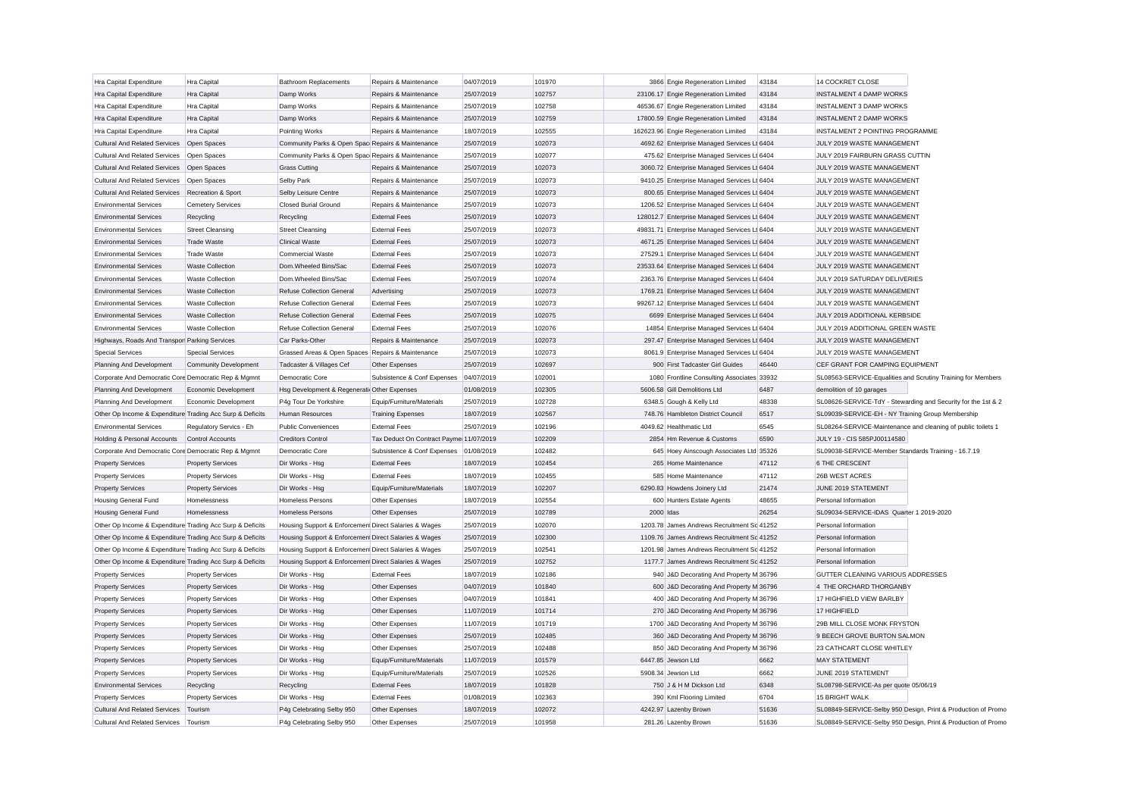| Hra Capital Expenditure                                           | Hra Capital              | <b>Bathroom Replacements</b>                         | Repairs & Maintenance                   | 04/07/2019               | 101970 |           | 3866 Engie Regeneration Limited              | 43184 | 14 COCKRET CLOSE                                    |                                                               |
|-------------------------------------------------------------------|--------------------------|------------------------------------------------------|-----------------------------------------|--------------------------|--------|-----------|----------------------------------------------|-------|-----------------------------------------------------|---------------------------------------------------------------|
| Hra Capital Expenditure                                           | Hra Capital              | Damp Works                                           | Repairs & Maintenance                   | 25/07/2019               | 102757 |           | 23106.17 Engie Regeneration Limited          | 43184 | <b>INSTALMENT 4 DAMP WORKS</b>                      |                                                               |
| Hra Capital Expenditure                                           | Hra Capital              | Damp Works                                           | Repairs & Maintenance                   | 25/07/2019               | 102758 |           | 46536.67 Engie Regeneration Limited          | 43184 | INSTALMENT 3 DAMP WORKS                             |                                                               |
| Hra Capital Expenditure                                           | Hra Capital              | Damp Works                                           | Repairs & Maintenance                   | 25/07/2019               | 102759 |           | 17800.59 Engie Regeneration Limited          | 43184 | <b>INSTALMENT 2 DAMP WORKS</b>                      |                                                               |
| Hra Capital Expenditure                                           | Hra Capital              | Pointing Works                                       | Repairs & Maintenance                   | 18/07/2019               | 102555 |           | 162623.96 Engie Regeneration Limited         | 43184 | INSTALMENT 2 POINTING PROGRAMME                     |                                                               |
| <b>Cultural And Related Services</b>                              | Open Spaces              | Community Parks & Open Spac Repairs & Maintenance    |                                         | 25/07/2019               | 102073 |           | 4692.62 Enterprise Managed Services Lt 6404  |       | JULY 2019 WASTE MANAGEMENT                          |                                                               |
| <b>Cultural And Related Services</b>                              | Open Spaces              | Community Parks & Open Spac Repairs & Maintenance    |                                         | 25/07/2019               | 102077 |           | 475.62 Enterprise Managed Services Lt 6404   |       | JULY 2019 FAIRBURN GRASS CUTTIN                     |                                                               |
| <b>Cultural And Related Services</b>                              | Open Spaces              | <b>Grass Cutting</b>                                 | Repairs & Maintenance                   | 25/07/2019               | 102073 |           | 3060.72 Enterprise Managed Services Lt 6404  |       | JULY 2019 WASTE MANAGEMENT                          |                                                               |
| Cultural And Related Services                                     | Open Spaces              | Selby Park                                           | Repairs & Maintenance                   | 25/07/2019               | 102073 |           | 9410.25 Enterprise Managed Services Lt 6404  |       | JULY 2019 WASTE MANAGEMENT                          |                                                               |
| <b>Cultural And Related Services</b>                              | Recreation & Sport       | Selby Leisure Centre                                 | Repairs & Maintenance                   | 25/07/2019               | 102073 |           | 800.65 Enterprise Managed Services Lt 6404   |       | JULY 2019 WASTE MANAGEMENT                          |                                                               |
| <b>Environmental Services</b>                                     | <b>Cemetery Services</b> | <b>Closed Burial Ground</b>                          | Repairs & Maintenance                   | 25/07/2019               | 102073 |           | 1206.52 Enterprise Managed Services Lt 6404  |       | JULY 2019 WASTE MANAGEMENT                          |                                                               |
| <b>Environmental Services</b>                                     | Recycling                | Recycling                                            | <b>External Fees</b>                    | 25/07/2019               | 102073 |           | 128012.7 Enterprise Managed Services Lt 6404 |       | JULY 2019 WASTE MANAGEMENT                          |                                                               |
| <b>Environmental Services</b>                                     | <b>Street Cleansing</b>  | <b>Street Cleansing</b>                              | <b>External Fees</b>                    | 25/07/2019               | 102073 |           | 49831.71 Enterprise Managed Services Lt 6404 |       | JULY 2019 WASTE MANAGEMENT                          |                                                               |
| <b>Environmental Services</b>                                     | <b>Trade Waste</b>       | Clinical Waste                                       | <b>External Fees</b>                    | 25/07/2019               | 102073 |           | 4671.25 Enterprise Managed Services Lt 6404  |       | JULY 2019 WASTE MANAGEMENT                          |                                                               |
| <b>Environmental Services</b>                                     | Trade Waste              | <b>Commercial Waste</b>                              | <b>External Fees</b>                    | 25/07/2019               | 102073 |           | 27529.1 Enterprise Managed Services Lt 6404  |       | JULY 2019 WASTE MANAGEMENT                          |                                                               |
| <b>Environmental Services</b>                                     | <b>Waste Collection</b>  | Dom.Wheeled Bins/Sac                                 | <b>External Fees</b>                    | 25/07/2019               | 102073 |           | 23533.64 Enterprise Managed Services Lt 6404 |       | JULY 2019 WASTE MANAGEMENT                          |                                                               |
| <b>Environmental Services</b>                                     | <b>Waste Collection</b>  | Dom.Wheeled Bins/Sac                                 | <b>External Fees</b>                    | 25/07/2019               | 102074 |           | 2363.76 Enterprise Managed Services Lt 6404  |       | JULY 2019 SATURDAY DELIVERIES                       |                                                               |
| <b>Environmental Services</b>                                     | <b>Waste Collection</b>  | <b>Refuse Collection General</b>                     | Advertising                             | 25/07/2019               | 102073 |           | 1769.21 Enterprise Managed Services Lt 6404  |       | JULY 2019 WASTE MANAGEMENT                          |                                                               |
| <b>Environmental Services</b>                                     | <b>Waste Collection</b>  | <b>Refuse Collection General</b>                     | <b>External Fees</b>                    | 25/07/2019               | 102073 |           | 99267.12 Enterprise Managed Services Lt 6404 |       | JULY 2019 WASTE MANAGEMENT                          |                                                               |
| <b>Environmental Services</b>                                     | <b>Waste Collection</b>  | <b>Refuse Collection General</b>                     | <b>External Fees</b>                    | 25/07/2019               | 102075 |           | 6699 Enterprise Managed Services Lt 6404     |       | JULY 2019 ADDITIONAL KERBSIDE                       |                                                               |
| <b>Environmental Services</b>                                     | <b>Waste Collection</b>  | <b>Refuse Collection General</b>                     | <b>External Fees</b>                    | 25/07/2019               | 102076 |           | 14854 Enterprise Managed Services Lt 6404    |       | JULY 2019 ADDITIONAL GREEN WASTE                    |                                                               |
| Highways, Roads And Transpor Parking Services                     |                          | Car Parks-Other                                      | Repairs & Maintenance                   | 25/07/2019               | 102073 |           | 297.47 Enterprise Managed Services Lt 6404   |       | JULY 2019 WASTE MANAGEMENT                          |                                                               |
| <b>Special Services</b>                                           | <b>Special Services</b>  | Grassed Areas & Open Spaces Repairs & Maintenance    |                                         | 25/07/2019               | 102073 |           | 8061.9 Enterprise Managed Services Lt 6404   |       | JULY 2019 WASTE MANAGEMENT                          |                                                               |
| Planning And Development                                          | Community Development    | Tadcaster & Villages Cef                             | Other Expenses                          | 25/07/2019               | 102697 |           | 900 First Tadcaster Girl Guides              | 46440 | CEF GRANT FOR CAMPING EQUIPMENT                     |                                                               |
| Corporate And Democratic Core Democratic Rep & Mgmnt              |                          | Democratic Core                                      | Subsistence & Conf Expenses             | 04/07/2019               | 102001 |           | 1080 Frontline Consulting Associates 33932   |       |                                                     | SL08563-SERVICE-Equalities and Scrutiny Training for Members  |
| Planning And Development                                          | Economic Development     | Hsg Development & Regenerati Other Expenses          |                                         | 01/08/2019               | 102305 |           | 5606.58 Gill Demolitions Ltd                 | 6487  | demolition of 10 garages                            |                                                               |
| Planning And Development                                          | Economic Development     | P4g Tour De Yorkshire                                | Equip/Furniture/Materials               | 25/07/2019               | 102728 |           | 6348.5 Gough & Kelly Ltd                     | 48338 |                                                     | SL08626-SERVICE-TdY - Stewarding and Security for the 1st & 2 |
| Other Op Income & Expenditure Trading Acc Surp & Deficits         |                          | Human Resources                                      | <b>Training Expenses</b>                | 18/07/2019               | 102567 |           | 748.76 Hambleton District Council            | 6517  | SL09039-SERVICE-EH - NY Training Group Membership   |                                                               |
| <b>Environmental Services</b>                                     | Regulatory Servics - Eh  | <b>Public Conveniences</b>                           | <b>External Fees</b>                    | 25/07/2019               | 102196 |           | 4049.62 Healthmatic Ltd                      | 6545  |                                                     | SL08264-SERVICE-Maintenance and cleaning of public toilets 1  |
| Holding & Personal Accounts                                       | Control Accounts         | <b>Creditors Control</b>                             | Tax Deduct On Contract Payme 11/07/2019 |                          | 102209 |           | 2854 Hm Revenue & Customs                    | 6590  | JULY 19 - CIS 585PJ00114580                         |                                                               |
| Corporate And Democratic Core Democratic Rep & Mgmnt              |                          | Democratic Core                                      | Subsistence & Conf Expenses             | 01/08/2019               | 102482 |           | 645 Hoey Ainscough Associates Ltd 35326      |       | SL09038-SERVICE-Member Standards Training - 16.7.19 |                                                               |
| <b>Property Services</b>                                          | <b>Property Services</b> | Dir Works - Hsg                                      | <b>External Fees</b>                    | 18/07/2019               | 102454 |           | 265 Home Maintenance                         | 47112 | <b>6 THE CRESCENT</b>                               |                                                               |
| <b>Property Services</b>                                          | <b>Property Services</b> | Dir Works - Hsg                                      | <b>External Fees</b>                    | 18/07/2019               | 102455 |           | 585 Home Maintenance                         | 47112 | 26B WEST ACRES                                      |                                                               |
| <b>Property Services</b>                                          | <b>Property Services</b> | Dir Works - Hsg                                      | Equip/Furniture/Materials               | 18/07/2019               | 102207 |           | 6290.83 Howdens Joinery Ltd                  | 21474 | JUNE 2019 STATEMENT                                 |                                                               |
| <b>Housing General Fund</b>                                       | Homelessness             | <b>Homeless Persons</b>                              | Other Expenses                          | 18/07/2019               | 102554 |           | 600 Hunters Estate Agents                    | 48655 | Personal Information                                |                                                               |
| <b>Housing General Fund</b>                                       | Homelessness             | <b>Homeless Persons</b>                              | Other Expenses                          | 25/07/2019               | 102789 | 2000 Idas |                                              | 26254 | SL09034-SERVICE-IDAS Quarter 1 2019-2020            |                                                               |
| Other Op Income & Expenditure Trading Acc Surp & Deficits         |                          | Housing Support & Enforcemen Direct Salaries & Wages |                                         | 25/07/2019               | 102070 |           | 1203.78 James Andrews Recruitment Sc 41252   |       | Personal Information                                |                                                               |
| Other Op Income & Expenditure Trading Acc Surp & Deficits         |                          | Housing Support & Enforcemen Direct Salaries & Wages |                                         | 25/07/2019               | 102300 |           | 1109.76 James Andrews Recruitment Sc 41252   |       | Personal Information                                |                                                               |
| Other Op Income & Expenditure Trading Acc Surp & Deficits         |                          | Housing Support & Enforcemen Direct Salaries & Wages |                                         | 25/07/2019               | 102541 |           | 1201.98 James Andrews Recruitment Sc 41252   |       | Personal Information                                |                                                               |
| Other Op Income & Expenditure Trading Acc Surp & Deficits         |                          | Housing Support & Enforcemen Direct Salaries & Wages |                                         | 25/07/2019               | 102752 |           | 1177.7 James Andrews Recruitment Sc 41252    |       | Personal Information                                |                                                               |
| <b>Property Services</b>                                          | <b>Property Services</b> | Dir Works - Hsg                                      | <b>External Fees</b>                    | 18/07/2019               | 102186 |           | 940 J&D Decorating And Property M 36796      |       | GUTTER CLEANING VARIOUS ADDRESSES                   |                                                               |
| <b>Property Services</b>                                          | <b>Property Services</b> | Dir Works - Hsg                                      | Other Expenses                          | 04/07/2019               | 101840 |           | 600 J&D Decorating And Property M 36796      |       | 4 THE ORCHARD THORGANBY                             |                                                               |
| <b>Property Services</b>                                          | <b>Property Services</b> | Dir Works - Hsg                                      | Other Expenses                          | 04/07/2019               | 101841 |           | 400 J&D Decorating And Property M 36796      |       | 17 HIGHFIELD VIEW BARLBY                            |                                                               |
| <b>Property Services</b>                                          | <b>Property Services</b> | Dir Works - Hsg                                      | Other Expenses                          | 11/07/2019               | 101714 |           | 270 J&D Decorating And Property M 36796      |       | 17 HIGHFIELD                                        |                                                               |
| <b>Property Services</b>                                          | <b>Property Services</b> | Dir Works - Hsg                                      | Other Expenses                          | 11/07/2019               | 101719 |           | 1700 J&D Decorating And Property M 36796     |       | 29B MILL CLOSE MONK FRYSTON                         |                                                               |
| <b>Property Services</b>                                          | <b>Property Services</b> | Dir Works - Hsg                                      | Other Expenses                          | 25/07/2019               | 102485 |           | 360 J&D Decorating And Property M 36796      |       | 9 BEECH GROVE BURTON SALMON                         |                                                               |
| <b>Property Services</b>                                          | <b>Property Services</b> | Dir Works - Hsg                                      | Other Expenses                          | 25/07/2019               | 102488 |           | 850 J&D Decorating And Property M 36796      |       | 23 CATHCART CLOSE WHITLEY                           |                                                               |
| <b>Property Services</b>                                          | <b>Property Services</b> | Dir Works - Hsg                                      | Equip/Furniture/Materials               | 11/07/2019               | 101579 |           | 6447.85 Jewson Ltd                           | 6662  | <b>MAY STATEMENT</b>                                |                                                               |
| <b>Property Services</b>                                          | <b>Property Services</b> | Dir Works - Hsg                                      | Equip/Furniture/Materials               | 25/07/2019               | 102526 |           | 5908.34 Jewson Ltd                           | 6662  | JUNE 2019 STATEMENT                                 |                                                               |
| <b>Environmental Services</b>                                     |                          |                                                      | <b>External Fees</b>                    | 18/07/2019               | 101828 |           | 750 J & H M Dickson Ltd                      | 6348  | SL08798-SERVICE-As per quote 05/06/19               |                                                               |
|                                                                   | Recycling                | Recycling                                            | <b>External Fees</b>                    |                          | 102363 |           |                                              | 6704  | 15 BRIGHT WALK                                      |                                                               |
| <b>Property Services</b><br>Cultural And Related Services Tourism | <b>Property Services</b> | Dir Works - Hsg                                      |                                         | 01/08/2019<br>18/07/2019 | 102072 |           | 390 Kml Flooring Limited                     | 51636 |                                                     |                                                               |
|                                                                   | Tourism                  | P4g Celebrating Selby 950                            | Other Expenses                          |                          |        |           | 4242.97 Lazenby Brown                        |       |                                                     | SL08849-SERVICE-Selby 950 Design, Print & Production of Promo |
| <b>Cultural And Related Services</b>                              |                          | P4g Celebrating Selby 950                            | Other Expenses                          | 25/07/2019               | 101958 |           | 281.26 Lazenby Brown                         | 51636 |                                                     | SL08849-SERVICE-Selby 950 Design, Print & Production of Promo |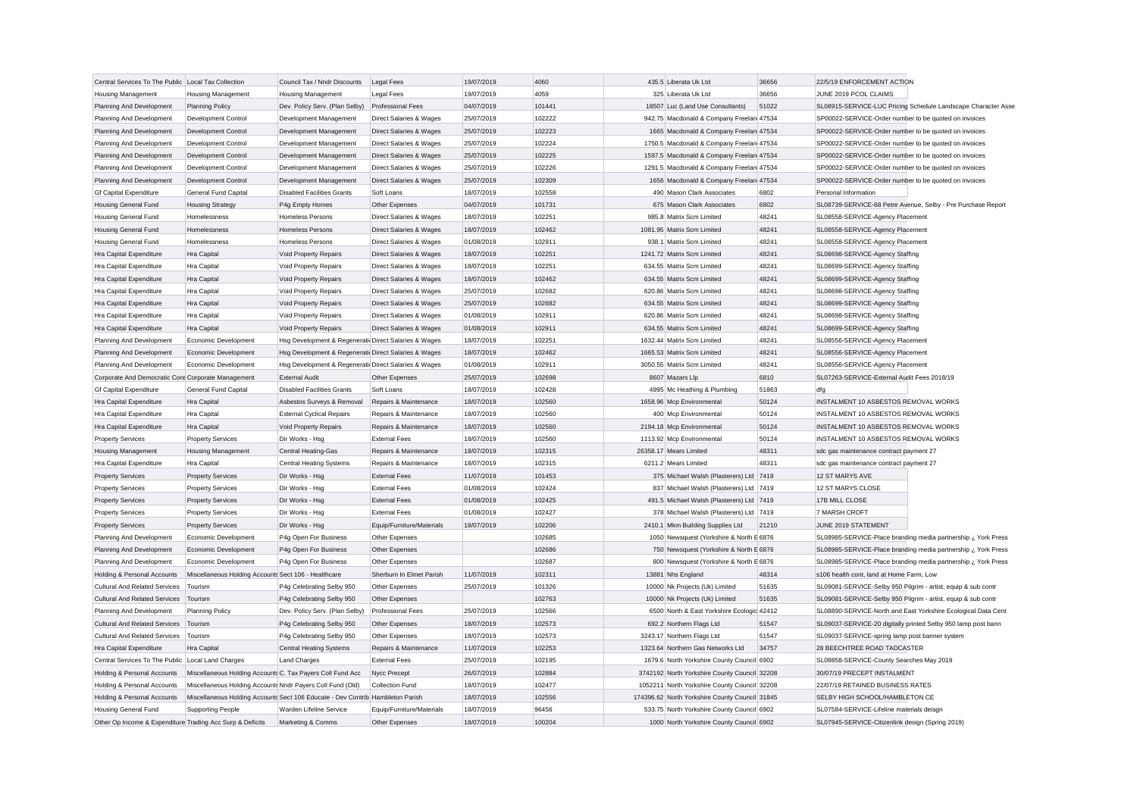| Central Services To The Public Local Tax Collection       |                                                            | Council Tax / Nndr Discounts                                                   | <b>Legal Fees</b>                  | 19/07/2019 | 4060   | 435.5 Liberata Uk Ltd                          | 36656 | 22/5/19 ENFORCEMENT ACTION                                    |
|-----------------------------------------------------------|------------------------------------------------------------|--------------------------------------------------------------------------------|------------------------------------|------------|--------|------------------------------------------------|-------|---------------------------------------------------------------|
| <b>Housing Management</b>                                 | <b>Housing Management</b>                                  | <b>Housing Management</b>                                                      | <b>Legal Fees</b>                  | 19/07/2019 | 4059   | 325 Liberata Uk Ltd                            | 36656 | JUNE 2019 PCOL CLAIMS                                         |
| Planning And Development                                  | <b>Planning Policy</b>                                     | Dev. Policy Serv. (Plan Selby)                                                 | <b>Professional Fees</b>           | 04/07/2019 | 101441 | 18507 Luc (Land Use Consultants)               | 51022 | SL08915-SERVICE-LUC Pricing Schedule Landscape Character Asse |
| Planning And Development                                  | Development Control                                        | Development Management                                                         | Direct Salaries & Wages            | 25/07/2019 | 102222 | 942.75 Macdonald & Company Freelan 47534       |       | SP00022-SERVICE-Order number to be quoted on invoices         |
| Planning And Development                                  | Development Control                                        | Development Management                                                         | <b>Direct Salaries &amp; Wages</b> | 25/07/2019 | 102223 | 1665 Macdonald & Company Freelan 47534         |       | SP00022-SERVICE-Order number to be quoted on invoices         |
| Planning And Development                                  | Development Control                                        | Development Management                                                         | Direct Salaries & Wages            | 25/07/2019 | 102224 | 1750.5 Macdonald & Company Freelan 47534       |       | SP00022-SERVICE-Order number to be quoted on invoices         |
| Planning And Development                                  | Development Control                                        | Development Management                                                         | Direct Salaries & Wages            | 25/07/2019 | 102225 | 1597.5 Macdonald & Company Freelan 47534       |       | SP00022-SERVICE-Order number to be quoted on invoices         |
| Planning And Development                                  | Development Control                                        | Development Management                                                         | Direct Salaries & Wages            | 25/07/2019 | 102226 | 1291.5 Macdonald & Company Freelan 47534       |       | SP00022-SERVICE-Order number to be quoted on invoices         |
| Planning And Development                                  | Development Control                                        | Development Management                                                         | <b>Direct Salaries &amp; Wages</b> | 25/07/2019 | 102309 | 1656 Macdonald & Company Freelan 47534         |       | SP00022-SERVICE-Order number to be quoted on invoices         |
| <b>Gf Capital Expenditure</b>                             | <b>General Fund Capital</b>                                | <b>Disabled Facilities Grants</b>                                              | Soft Loans                         | 18/07/2019 | 102558 | 490 Mason Clark Associates                     | 6802  | Personal Information                                          |
| <b>Housing General Fund</b>                               | <b>Housing Strategy</b>                                    | P4g Empty Homes                                                                | Other Expenses                     | 04/07/2019 | 101731 | 675 Mason Clark Associates                     | 6802  | SL08739-SERVICE-68 Petre Avenue, Selby - Pre Purchase Report  |
| <b>Housing General Fund</b>                               | Homelessness                                               | <b>Homeless Persons</b>                                                        | Direct Salaries & Wages            | 18/07/2019 | 102251 | 985.8 Matrix Scm Limited                       | 48241 | SL08558-SERVICE-Agency Placement                              |
| <b>Housing General Fund</b>                               | Homelessness                                               | <b>Homeless Persons</b>                                                        | Direct Salaries & Wages            | 18/07/2019 | 102462 | 1081.95 Matrix Scm Limited                     | 48241 | SL08558-SERVICE-Agency Placement                              |
| <b>Housing General Fund</b>                               | Homelessness                                               | <b>Homeless Persons</b>                                                        | Direct Salaries & Wages            | 01/08/2019 | 102911 | 938.1 Matrix Scm Limited                       | 48241 | SL08558-SERVICE-Agency Placement                              |
| Hra Capital Expenditure                                   | Hra Capital                                                | Void Property Repairs                                                          | Direct Salaries & Wages            | 18/07/2019 | 102251 | 1241.72 Matrix Scm Limited                     | 48241 | SL08698-SERVICE-Agency Staffing                               |
| Hra Capital Expenditure                                   | Hra Capital                                                | Void Property Repairs                                                          | Direct Salaries & Wages            | 18/07/2019 | 102251 | 634.55 Matrix Scm Limited                      | 48241 | SL08699-SERVICE-Agency Staffing                               |
| Hra Capital Expenditure                                   | Hra Capital                                                | Void Property Repairs                                                          | Direct Salaries & Wages            | 18/07/2019 | 102462 | 634.55 Matrix Scm Limited                      | 48241 | SL08699-SERVICE-Agency Staffing                               |
| Hra Capital Expenditure                                   | Hra Capital                                                | Void Property Repairs                                                          | Direct Salaries & Wages            | 25/07/2019 | 102682 | 620.86 Matrix Scm Limited                      | 48241 | SL08698-SERVICE-Agency Staffing                               |
|                                                           | Hra Capital                                                |                                                                                |                                    | 25/07/2019 | 102682 | 634.55 Matrix Scm Limited                      | 48241 | SL08699-SERVICE-Agency Staffing                               |
| Hra Capital Expenditure                                   |                                                            | Void Property Repairs                                                          | <b>Direct Salaries &amp; Wages</b> |            | 102911 | 620.86 Matrix Scm Limited                      | 48241 |                                                               |
| Hra Capital Expenditure                                   | Hra Capital                                                | Void Property Repairs                                                          | Direct Salaries & Wages            | 01/08/2019 |        |                                                |       | SL08698-SERVICE-Agency Staffing                               |
| Hra Capital Expenditure                                   | Hra Capital                                                | Void Property Repairs                                                          | Direct Salaries & Wages            | 01/08/2019 | 102911 | 634.55 Matrix Scm Limited                      | 48241 | SL08699-SERVICE-Agency Staffing                               |
| Planning And Development                                  | Economic Development                                       | Hsg Development & Regenerati Direct Salaries & Wages                           |                                    | 18/07/2019 | 102251 | 1632.44 Matrix Scm Limited                     | 48241 | SL08556-SERVICE-Agency Placement                              |
| Planning And Development                                  | Economic Development                                       | Hsg Development & Regenerati Direct Salaries & Wages                           |                                    | 18/07/2019 | 102462 | 1665.53 Matrix Scm Limited                     | 48241 | SL08556-SERVICE-Agency Placement                              |
| Planning And Development                                  | Economic Development                                       | Hsg Development & Regenerati Direct Salaries & Wages                           |                                    | 01/08/2019 | 102911 | 3050.55 Matrix Scm Limited                     | 48241 | SL08556-SERVICE-Agency Placement                              |
| Corporate And Democratic Core Corporate Management        |                                                            | <b>External Audi</b>                                                           | Other Expenses                     | 25/07/2019 | 102698 | 8607 Mazars Lip                                | 6810  | SL07263-SERVICE-External Audit Fees 2018/19                   |
| <b>Gf Capital Expenditure</b>                             | <b>General Fund Capital</b>                                | <b>Disabled Facilities Grants</b>                                              | Soft Loans                         | 18/07/2019 | 102428 | 4995 Mc Heathing & Plumbing                    | 51863 | dfg                                                           |
| Hra Capital Expenditure                                   | Hra Capital                                                | Asbestos Surveys & Removal                                                     | Repairs & Maintenance              | 18/07/2019 | 102560 | 1658.96 Mcp Environmental                      | 50124 | INSTALMENT 10 ASBESTOS REMOVAL WORKS                          |
| Hra Capital Expenditure                                   | Hra Capital                                                | <b>External Cyclical Repairs</b>                                               | Repairs & Maintenance              | 18/07/2019 | 102560 | 400 Mcp Environmental                          | 50124 | INSTALMENT 10 ASBESTOS REMOVAL WORKS                          |
| Hra Capital Expenditure                                   | Hra Capital                                                | <b>Void Property Repairs</b>                                                   | Repairs & Maintenance              | 18/07/2019 | 102560 | 2194.18 Mcp Environmental                      | 50124 | INSTALMENT 10 ASBESTOS REMOVAL WORKS                          |
| <b>Property Services</b>                                  | <b>Property Services</b>                                   | Dir Works - Hsg                                                                | <b>External Fees</b>               | 18/07/2019 | 102560 | 1113.92 Mcp Environmental                      | 50124 | INSTALMENT 10 ASBESTOS REMOVAL WORKS                          |
| <b>Housing Management</b>                                 | <b>Housing Management</b>                                  | <b>Central Heating-Gas</b>                                                     | Repairs & Maintenance              | 18/07/2019 | 102315 | 26358.17 Mears Limited                         | 48311 | sdc gas maintenance contract payment 27                       |
| Hra Capital Expenditure                                   | Hra Capital                                                | <b>Central Heating Systems</b>                                                 | Repairs & Maintenance              | 18/07/2019 | 102315 | 6211.2 Mears Limited                           | 48311 | sdc gas maintenance contract payment 27                       |
| <b>Property Services</b>                                  | <b>Property Services</b>                                   | Dir Works - Hsg                                                                | <b>External Fees</b>               | 11/07/2019 | 101453 | 375 Michael Walsh (Plasterers) Ltd 7419        |       | 12 ST MARYS AVE                                               |
| <b>Property Services</b>                                  | <b>Property Services</b>                                   | Dir Works - Hsg                                                                | <b>External Fees</b>               | 01/08/2019 | 102424 | 837 Michael Walsh (Plasterers) Ltd 7419        |       | 12 ST MARYS CLOSE                                             |
| <b>Property Services</b>                                  | <b>Property Services</b>                                   | Dir Works - Hsg                                                                | <b>External Fees</b>               | 01/08/2019 | 102425 | 491.5 Michael Walsh (Plasterers) Ltd 7419      |       | 17B MILL CLOSE                                                |
| <b>Property Services</b>                                  | <b>Property Services</b>                                   | Dir Works - Hsg                                                                | <b>External Fees</b>               | 01/08/2019 | 102427 | 378 Michael Walsh (Plasterers) Ltd 7419        |       | 7 MARSH CROFT                                                 |
| <b>Property Services</b>                                  | <b>Property Services</b>                                   | Dir Works - Hsg                                                                | Equip/Furniture/Materials          | 18/07/2019 | 102206 | 2410.1 Mkm Building Supplies Ltd               | 21210 | JUNE 2019 STATEMENT                                           |
| Planning And Development                                  | Economic Development                                       | P4g Open For Business                                                          | Other Expenses                     |            | 102685 | 1050 Newsquest (Yorkshire & North E 6876       |       | SL08985-SERVICE-Place branding media partnership ¿ York Press |
| Planning And Development                                  | Economic Development                                       | P4g Open For Business                                                          | Other Expenses                     |            | 102686 | 750 Newsquest (Yorkshire & North E 6876        |       | SL08985-SERVICE-Place branding media partnership ¿ York Press |
| Planning And Development                                  | Economic Development                                       | P4g Open For Business                                                          | Other Expenses                     |            | 102687 | 800 Newsquest (Yorkshire & North E 6876        |       | SL08985-SERVICE-Place branding media partnership ¿ York Press |
| Holding & Personal Accounts                               | Miscellaneous Holding Accounts Sect 106 - Healthcare       |                                                                                | Sherburn In Elmet Parish           | 11/07/2019 | 102311 | 13881 Nhs England                              | 48314 | s106 health cont, land at Home Farm, Low                      |
| <b>Cultural And Related Services</b>                      | Tourism                                                    | P4g Celebrating Selby 950                                                      | Other Expenses                     | 25/07/2019 | 101326 | 10000 Nk Projects (Uk) Limited                 | 51635 | SL09081-SERVICE-Selby 950 Pilgrim - artist, equip & sub contr |
| <b>Cultural And Related Services</b>                      | Tourism                                                    | P4g Celebrating Selby 950                                                      | Other Expenses                     |            | 102763 | 10000 Nk Projects (Uk) Limited                 | 51635 | SL09081-SERVICE-Selby 950 Pilgrim - artist, equip & sub contr |
| Planning And Development                                  | <b>Planning Policy</b>                                     | Dev. Policy Serv. (Plan Selby)                                                 | <b>Professional Fees</b>           | 25/07/2019 | 102566 | 6500 North & East Yorkshire Ecologic 42412     |       | SL08890-SERVICE-North and East Yorkshire Ecological Data Cent |
| <b>Cultural And Related Services</b>                      | Tourism                                                    | P4g Celebrating Selby 950                                                      | Other Expenses                     | 18/07/2019 | 102573 | 692.2 Northern Flags Ltd                       | 51547 | SL09037-SERVICE-20 digitally printed Selby 950 lamp post bann |
| Cultural And Related Services                             | Tourism                                                    | P4g Celebrating Selby 950                                                      | Other Expenses                     | 18/07/2019 | 102573 | 3243.17 Northern Flags Ltd                     | 51547 | SL09037-SERVICE-spring lamp post banner system                |
| Hra Capital Expenditure                                   | Hra Capital                                                | <b>Central Heating Systems</b>                                                 | Repairs & Maintenance              | 11/07/2019 | 102253 | 1323.64 Northern Gas Networks Ltd              | 34757 | 28 BEECHTREE ROAD TADCASTER                                   |
| Central Services To The Public Local Land Charges         |                                                            | <b>Land Charges</b>                                                            | <b>External Fees</b>               | 25/07/2019 | 102195 | 1679.6 North Yorkshire County Council 6902     |       | SL08858-SERVICE-County Searches May 2019                      |
| Holding & Personal Accounts                               | Miscellaneous Holding Accounts C. Tax Payers Coll Fund Acc |                                                                                | Nycc Precept                       | 26/07/2019 | 102884 | 3742192 North Yorkshire County Council 32208   |       | 30/07/19 PRECEPT INSTALMENT                                   |
| Holding & Personal Accounts                               | Miscellaneous Holding Accounts Nndr Payers Coll Fund (Old) |                                                                                | Collection Fund                    | 18/07/2019 | 102477 | 1052211 North Yorkshire County Council 32208   |       | 22/07/19 RETAINED BUSINESS RATES                              |
| Holding & Personal Accounts                               |                                                            | Miscellaneous Holding Accounts Sect 106 Educate - Dev Contrib Hambleton Parish |                                    | 18/07/2019 | 102556 | 174396.62 North Yorkshire County Council 31845 |       | SELBY HIGH SCHOOL/HAMBLETON CE                                |
| <b>Housing General Fund</b>                               | <b>Supporting People</b>                                   | Warden Lifeline Service                                                        | Equip/Furniture/Materials          | 18/07/2019 | 96456  | 533.75 North Yorkshire County Council 6902     |       | SL07584-SERVICE-Lifeline materials deisgn                     |
| Other Op Income & Expenditure Trading Acc Surp & Deficits |                                                            | Marketing & Comms                                                              | Other Expenses                     | 18/07/2019 | 100204 | 1000 North Yorkshire County Council 6902       |       | SL07945-SERVICE-Citizenlink design (Spring 2019)              |
|                                                           |                                                            |                                                                                |                                    |            |        |                                                |       |                                                               |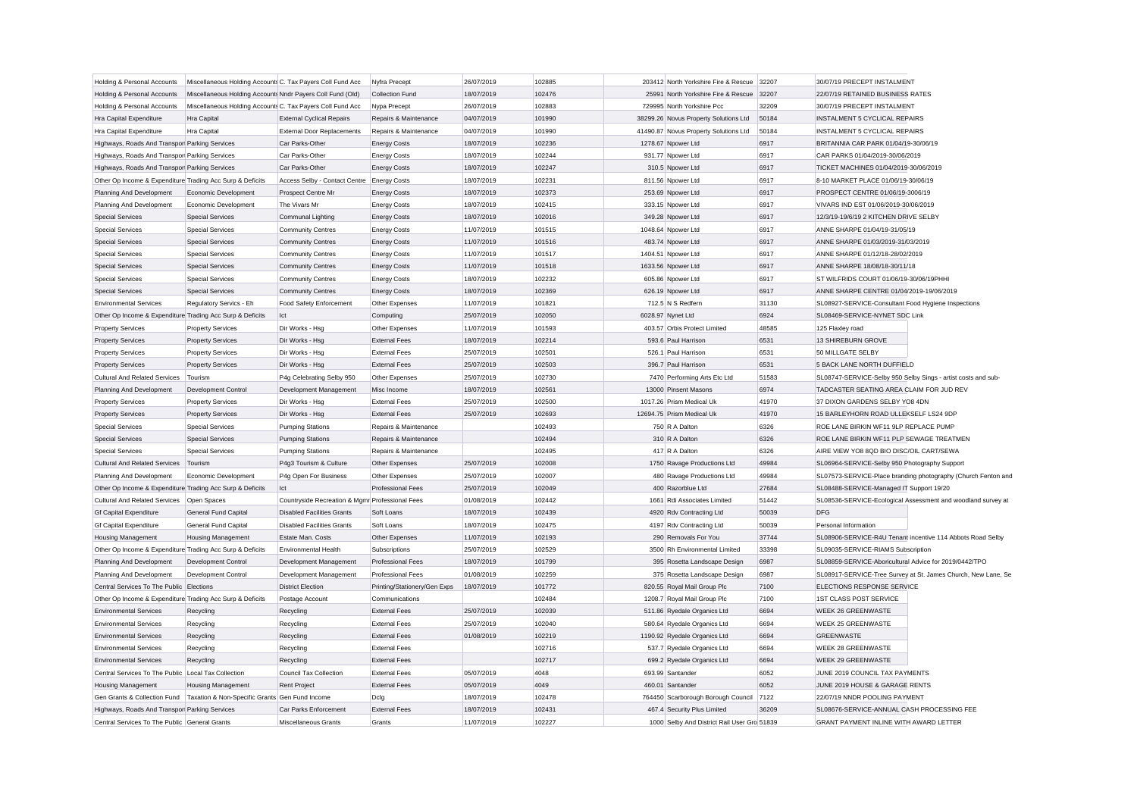| Holding & Personal Accounts                               | Miscellaneous Holding Accounts C. Tax Payers Coll Fund Acc                    |                                                 | Nyfra Precept                | 26/07/2019 | 102885 | 203412 North Yorkshire Fire & Rescue        | 32207 | 30/07/19 PRECEPT INSTALMENT                                   |                                                               |
|-----------------------------------------------------------|-------------------------------------------------------------------------------|-------------------------------------------------|------------------------------|------------|--------|---------------------------------------------|-------|---------------------------------------------------------------|---------------------------------------------------------------|
| Holding & Personal Accounts                               | Miscellaneous Holding Accounts Nndr Payers Coll Fund (Old)                    |                                                 | <b>Collection Fund</b>       | 18/07/2019 | 102476 | 25991 North Yorkshire Fire & Rescue         | 32207 | 22/07/19 RETAINED BUSINESS RATES                              |                                                               |
| Holding & Personal Accounts                               | Miscellaneous Holding Accounts C. Tax Payers Coll Fund Acc                    |                                                 | Nypa Precept                 | 26/07/2019 | 102883 | 729995 North Yorkshire Pcc                  | 32209 | 30/07/19 PRECEPT INSTALMENT                                   |                                                               |
| Hra Capital Expenditure                                   | Hra Capital                                                                   | <b>External Cyclical Repairs</b>                | Repairs & Maintenance        | 04/07/2019 | 101990 | 38299.26 Novus Property Solutions Ltd       | 50184 | INSTALMENT 5 CYCLICAL REPAIRS                                 |                                                               |
| Hra Capital Expenditure                                   | Hra Capital                                                                   | <b>External Door Replacements</b>               | Repairs & Maintenance        | 04/07/2019 | 101990 | 41490.87 Novus Property Solutions Ltd       | 50184 | INSTALMENT 5 CYCLICAL REPAIRS                                 |                                                               |
| Highways, Roads And Transpor Parking Services             |                                                                               | Car Parks-Other                                 | <b>Energy Costs</b>          | 18/07/2019 | 102236 | 1278.67 Npower Ltd                          | 6917  | BRITANNIA CAR PARK 01/04/19-30/06/19                          |                                                               |
| Highways, Roads And Transpor Parking Services             |                                                                               | Car Parks-Other                                 | <b>Energy Costs</b>          | 18/07/2019 | 102244 | 931.77 Npower Ltd                           | 6917  | CAR PARKS 01/04/2019-30/06/2019                               |                                                               |
| Highways, Roads And Transpor Parking Services             |                                                                               | Car Parks-Other                                 | <b>Energy Costs</b>          | 18/07/2019 | 102247 | 310.5 Npower Ltd                            | 6917  | TICKET MACHINES 01/04/2019-30/06/2019                         |                                                               |
| Other Op Income & Expenditure Trading Acc Surp & Deficits |                                                                               | Access Selby - Contact Centre Energy Costs      |                              | 18/07/2019 | 102231 | 811.56 Npower Ltd                           | 6917  | 8-10 MARKET PLACE 01/06/19-30/06/19                           |                                                               |
| Planning And Development                                  | Economic Development                                                          | Prospect Centre Mr                              | <b>Energy Costs</b>          | 18/07/2019 | 102373 | 253.69 Npower Ltd                           | 6917  | PROSPECT CENTRE 01/06/19-3006/19                              |                                                               |
| Planning And Development                                  | Economic Development                                                          | The Vivars Mr                                   | <b>Energy Costs</b>          | 18/07/2019 | 102415 | 333.15 Npower Ltd                           | 6917  | VIVARS IND EST 01/06/2019-30/06/2019                          |                                                               |
| <b>Special Services</b>                                   | <b>Special Services</b>                                                       | Communal Lighting                               | <b>Energy Costs</b>          | 18/07/2019 | 102016 | 349.28 Npower Ltd                           | 6917  | 12/3/19-19/6/19 2 KITCHEN DRIVE SELBY                         |                                                               |
| <b>Special Services</b>                                   | <b>Special Services</b>                                                       | <b>Community Centres</b>                        | <b>Energy Costs</b>          | 11/07/2019 | 101515 | 1048.64 Npower Ltd                          | 6917  | ANNE SHARPE 01/04/19-31/05/19                                 |                                                               |
| <b>Special Services</b>                                   | <b>Special Services</b>                                                       | <b>Community Centres</b>                        | <b>Energy Costs</b>          | 11/07/2019 | 101516 | 483.74 Noower Ltd                           | 6917  | ANNE SHARPE 01/03/2019-31/03/2019                             |                                                               |
| <b>Special Services</b>                                   | <b>Special Services</b>                                                       | <b>Community Centres</b>                        | <b>Energy Costs</b>          | 11/07/2019 | 101517 | 1404.51 Npower Ltd                          | 6917  | ANNE SHARPE 01/12/18-28/02/2019                               |                                                               |
| <b>Special Services</b>                                   | <b>Special Services</b>                                                       | <b>Community Centres</b>                        | <b>Energy Costs</b>          | 11/07/2019 | 101518 | 1633.56 Npower Ltd                          | 6917  | ANNE SHARPE 18/08/18-30/11/18                                 |                                                               |
| <b>Special Services</b>                                   | <b>Special Services</b>                                                       | <b>Community Centres</b>                        | <b>Energy Costs</b>          | 18/07/2019 | 102232 | 605.86 Noower Ltd                           | 6917  | ST WILFRIDS COURT 01/06/19-30/06/19PHHI                       |                                                               |
| <b>Special Services</b>                                   | <b>Special Services</b>                                                       | <b>Community Centres</b>                        | <b>Energy Costs</b>          | 18/07/2019 | 102369 | 626.19 Npower Ltd                           | 6917  | ANNE SHARPE CENTRE 01/04/2019-19/06/2019                      |                                                               |
| <b>Environmental Services</b>                             | Regulatory Servics - Eh                                                       | Food Safety Enforcement                         | Other Expenses               | 11/07/2019 | 101821 | 712.5 N S Redfern                           | 31130 | SL08927-SERVICE-Consultant Food Hygiene Inspections           |                                                               |
| Other Op Income & Expenditure Trading Acc Surp & Deficits |                                                                               | Ict                                             | Computing                    | 25/07/2019 | 102050 | 6028.97 Nynet Ltd                           | 6924  | SL08469-SERVICE-NYNET SDC Link                                |                                                               |
|                                                           |                                                                               |                                                 |                              |            |        |                                             |       |                                                               |                                                               |
| <b>Property Services</b>                                  | <b>Property Services</b>                                                      | Dir Works - Hsg                                 | Other Expenses               | 11/07/2019 | 101593 | 403.57 Orbis Protect Limited                | 48585 | 125 Flaxley road                                              |                                                               |
| <b>Property Services</b>                                  | <b>Property Services</b>                                                      | Dir Works - Hsa                                 | <b>External Fees</b>         | 18/07/2019 | 102214 | 593.6 Paul Harrison                         | 6531  | 13 SHIREBURN GROVE                                            |                                                               |
| <b>Property Services</b>                                  | <b>Property Services</b>                                                      | Dir Works - Hsg                                 | <b>External Fees</b>         | 25/07/2019 | 102501 | 526.1 Paul Harrison                         | 6531  | 50 MILLGATE SELBY                                             |                                                               |
| <b>Property Services</b>                                  | <b>Property Services</b>                                                      | Dir Works - Hsg                                 | <b>External Fees</b>         | 25/07/2019 | 102503 | 396.7 Paul Harrison                         | 6531  | 5 BACK LANE NORTH DUFFIELD                                    |                                                               |
| <b>Cultural And Related Services</b>                      | Tourism                                                                       | P4g Celebrating Selby 950                       | Other Expenses               | 25/07/2019 | 102730 | 7470 Performing Arts Etc Ltd                | 51583 | SL08747-SERVICE-Selby 950 Selby Sings - artist costs and sub- |                                                               |
| Planning And Development                                  | Development Control                                                           | Development Management                          | Misc Income                  | 18/07/2019 | 102561 | 13000 Pinsent Masons                        | 6974  | TADCASTER SEATING AREA CLAIM FOR JUD REV                      |                                                               |
| <b>Property Services</b>                                  | <b>Property Services</b>                                                      | Dir Works - Hsg                                 | <b>External Fees</b>         | 25/07/2019 | 102500 | 1017.26 Prism Medical Uk                    | 41970 | 37 DIXON GARDENS SELBY YO8 4DN                                |                                                               |
| <b>Property Services</b>                                  | <b>Property Services</b>                                                      | Dir Works - Hsg                                 | <b>External Fees</b>         | 25/07/2019 | 102693 | 12694.75 Prism Medical Uk                   | 41970 | 15 BARLEYHORN ROAD ULLEKSELF LS24 9DP                         |                                                               |
| <b>Special Services</b>                                   | <b>Special Services</b>                                                       | <b>Pumping Stations</b>                         | Repairs & Maintenance        |            | 102493 | 750 R A Dalton                              | 6326  | ROE LANE BIRKIN WF11 9LP REPLACE PUMP                         |                                                               |
| <b>Special Services</b>                                   | <b>Special Services</b>                                                       | <b>Pumping Stations</b>                         | Repairs & Maintenance        |            | 102494 | 310 R A Dalton                              | 6326  | ROE LANE BIRKIN WF11 PLP SEWAGE TREATMEN                      |                                                               |
| <b>Special Services</b>                                   | <b>Special Services</b>                                                       | <b>Pumping Stations</b>                         | Repairs & Maintenance        |            | 102495 | 417 R A Dalton                              | 6326  | AIRE VIEW YO8 8QD BIO DISC/OIL CART/SEWA                      |                                                               |
| <b>Cultural And Related Services</b>                      | Tourism                                                                       | P4g3 Tourism & Culture                          | Other Expenses               | 25/07/2019 | 102008 | 1750 Ravage Productions Ltd                 | 49984 | SL06964-SERVICE-Selby 950 Photography Support                 |                                                               |
| Planning And Development                                  | Economic Development                                                          | P4g Open For Business                           | Other Expenses               | 25/07/2019 | 102007 | 480 Ravage Productions Ltd                  | 49984 |                                                               | SL07573-SERVICE-Place branding photography (Church Fenton and |
| Other Op Income & Expenditure Trading Acc Surp & Deficits |                                                                               | Ict                                             | <b>Professional Fees</b>     | 25/07/2019 | 102049 | 400 Razorblue Ltd                           | 27684 | SL08488-SERVICE-Managed IT Support 19/20                      |                                                               |
| <b>Cultural And Related Services</b>                      | Open Spaces                                                                   | Countryside Recreation & Mgmr Professional Fees |                              | 01/08/2019 | 102442 | 1661 Rdi Associates Limited                 | 51442 | SL08536-SERVICE-Ecological Assessment and woodland survey at  |                                                               |
| <b>Gf Capital Expenditure</b>                             | General Fund Capital                                                          | <b>Disabled Facilities Grants</b>               | Soft Loans                   | 18/07/2019 | 102439 | 4920 Rdv Contracting Ltd                    | 50039 | <b>DFG</b>                                                    |                                                               |
| <b>Gf Capital Expenditure</b>                             | General Fund Capital                                                          | <b>Disabled Facilities Grants</b>               | Soft Loans                   | 18/07/2019 | 102475 | 4197 Rdv Contracting Ltd                    | 50039 | Personal Information                                          |                                                               |
| <b>Housing Management</b>                                 | <b>Housing Management</b>                                                     | Estate Man Costs                                | Other Expenses               | 11/07/2019 | 102193 | 290 Removals For You                        | 37744 | SL08906-SERVICE-R4U Tenant incentive 114 Abbots Road Selby    |                                                               |
| Other Op Income & Expenditure Trading Acc Surp & Deficits |                                                                               | <b>Environmental Health</b>                     | Subscriptions                | 25/07/2019 | 102529 | 3500 Rh Environmental Limited               | 33398 | SL09035-SERVICE-RIAMS Subscription                            |                                                               |
| Planning And Development                                  | Development Control                                                           | Development Management                          | <b>Professional Fees</b>     | 18/07/2019 | 101799 | 395 Rosetta Landscape Design                | 6987  | SL08859-SERVICE-Aboricultural Advice for 2019/0442/TPO        |                                                               |
| Planning And Development                                  | Development Control                                                           | Development Management                          | <b>Professional Fees</b>     | 01/08/2019 | 102259 | 375 Rosetta Landscape Design                | 6987  |                                                               | SL08917-SERVICE-Tree Survey at St. James Church, New Lane, Se |
| Central Services To The Public Elections                  |                                                                               | <b>District Election</b>                        | Printing/Stationery/Gen Exps | 18/07/2019 | 101772 | 820.55 Royal Mail Group Plc                 | 7100  | ELECTIONS RESPONSE SERVICE                                    |                                                               |
| Other Op Income & Expenditure Trading Acc Surp & Deficits |                                                                               | Postage Account                                 | Communications               |            | 102484 | 1208.7 Royal Mail Group Plc                 | 7100  | <b>1ST CLASS POST SERVICE</b>                                 |                                                               |
| <b>Environmental Services</b>                             | Recycling                                                                     | Recycling                                       | <b>External Fees</b>         | 25/07/2019 | 102039 | 511.86 Ryedale Organics Ltd                 | 6694  | WEEK 26 GREENWASTE                                            |                                                               |
| <b>Environmental Services</b>                             | Recycling                                                                     | Recycling                                       | <b>External Fees</b>         | 25/07/2019 | 102040 | 580.64 Ryedale Organics Ltd                 | 6694  | WEEK 25 GREENWASTE                                            |                                                               |
| <b>Environmental Services</b>                             | Recycling                                                                     | Recycling                                       | <b>External Fees</b>         | 01/08/2019 | 102219 | 1190.92 Ryedale Organics Ltd                | 6694  | <b>GREENWASTE</b>                                             |                                                               |
| <b>Environmental Services</b>                             | Recycling                                                                     | Recycling                                       | <b>External Fees</b>         |            | 102716 | 537.7 Ryedale Organics Ltd                  | 6694  | WEEK 28 GREENWASTE                                            |                                                               |
| <b>Environmental Services</b>                             | Recycling                                                                     | Recycling                                       | <b>External Fees</b>         |            | 102717 | 699.2 Ryedale Organics Ltd                  | 6694  | <b>WEEK 29 GREENWASTE</b>                                     |                                                               |
| Central Services To The Public Local Tax Collection       |                                                                               | Council Tax Collection                          | <b>External Fees</b>         | 05/07/2019 | 4048   | 693.99 Santander                            | 6052  | JUNE 2019 COUNCIL TAX PAYMENTS                                |                                                               |
| <b>Housing Management</b>                                 | <b>Housing Management</b>                                                     | Rent Project                                    | <b>External Fees</b>         | 05/07/2019 | 4049   | 460.01 Santander                            | 6052  | JUNE 2019 HOUSE & GARAGE RENTS                                |                                                               |
|                                                           | Gen Grants & Collection Fund   Taxation & Non-Specific Grants Gen Fund Income |                                                 | Dclg                         | 18/07/2019 | 102478 | 764450 Scarborough Borough Council          | 7122  | 22/07/19 NNDR POOLING PAYMENT                                 |                                                               |
| Highways, Roads And Transpor Parking Services             |                                                                               | Car Parks Enforcement                           | <b>External Fees</b>         | 18/07/2019 | 102431 | 467.4 Security Plus Limited                 | 36209 | SL08676-SERVICE-ANNUAL CASH PROCESSING FEE                    |                                                               |
| Central Services To The Public General Grants             |                                                                               | Miscellaneous Grants                            | Grants                       | 11/07/2019 | 102227 | 1000 Selby And District Rail User Gro 51839 |       | GRANT PAYMENT INLINE WITH AWARD LETTER                        |                                                               |
|                                                           |                                                                               |                                                 |                              |            |        |                                             |       |                                                               |                                                               |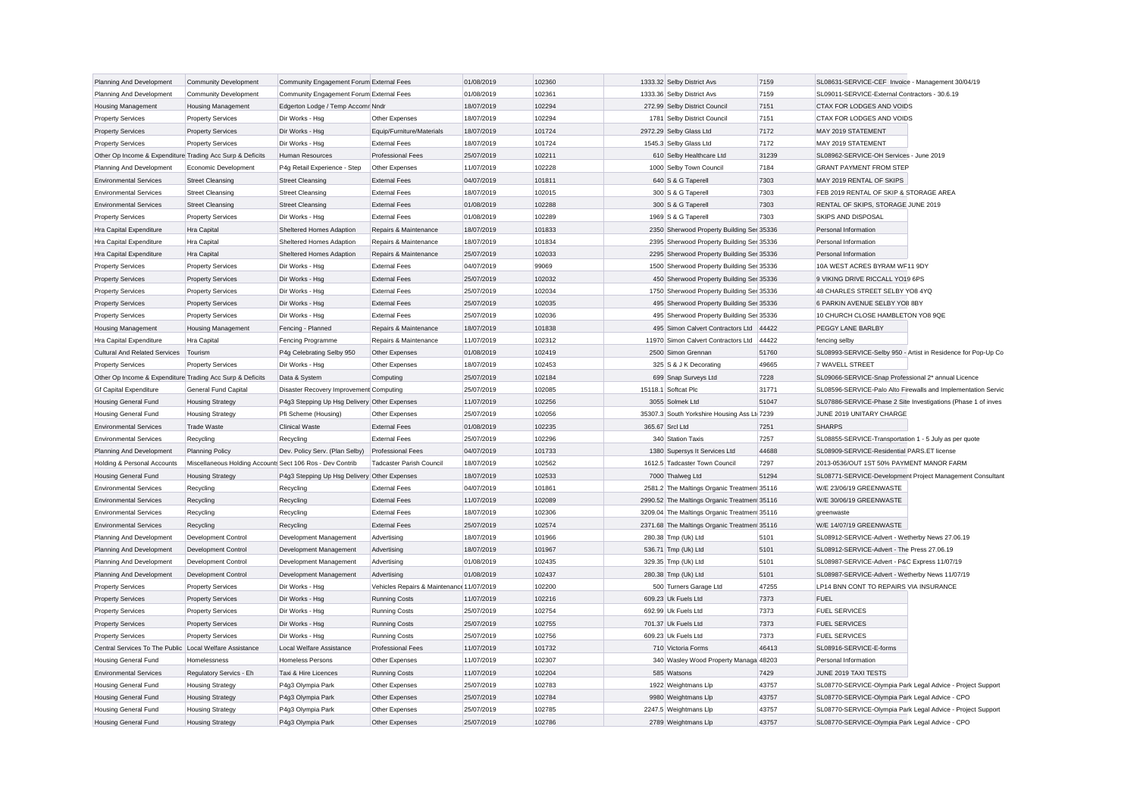| Planning And Development                                  | <b>Community Development</b>                              | Community Engagement Forum External Fees     |                                           | 01/08/2019 | 102360 | 1333.32 Selby District Avs                  | 7159  | SL08631-SERVICE-CEF Invoice - Management 30/04/19           |                                                               |
|-----------------------------------------------------------|-----------------------------------------------------------|----------------------------------------------|-------------------------------------------|------------|--------|---------------------------------------------|-------|-------------------------------------------------------------|---------------------------------------------------------------|
| Planning And Development                                  | <b>Community Development</b>                              | Community Engagement Forum External Fees     |                                           | 01/08/2019 | 102361 | 1333.36 Selby District Avs                  | 7159  | SL09011-SERVICE-External Contractors - 30.6.19              |                                                               |
| <b>Housing Management</b>                                 | <b>Housing Management</b>                                 | Edgerton Lodge / Temp Accomr Nndr            |                                           | 18/07/2019 | 102294 | 272.99 Selby District Council               | 7151  | CTAX FOR LODGES AND VOIDS                                   |                                                               |
| <b>Property Services</b>                                  | <b>Property Services</b>                                  | Dir Works - Hsg                              | Other Expenses                            | 18/07/2019 | 102294 | 1781 Selby District Council                 | 7151  | CTAX FOR LODGES AND VOIDS                                   |                                                               |
| <b>Property Services</b>                                  | <b>Property Services</b>                                  | Dir Works - Hsg                              | Equip/Furniture/Materials                 | 18/07/2019 | 101724 | 2972.29 Selby Glass Ltd                     | 7172  | MAY 2019 STATEMENT                                          |                                                               |
| <b>Property Services</b>                                  | <b>Property Services</b>                                  | Dir Works - Hsa                              | <b>External Fees</b>                      | 18/07/2019 | 101724 | 1545.3 Selby Glass Ltd                      | 7172  | MAY 2019 STATEMENT                                          |                                                               |
| Other Op Income & Expenditure Trading Acc Surp & Deficits |                                                           | Human Resources                              | <b>Professional Fees</b>                  | 25/07/2019 | 102211 | 610 Selby Healthcare Ltd                    | 31239 | SL08962-SERVICE-OH Services - June 2019                     |                                                               |
| Planning And Development                                  | Economic Development                                      | P4g Retail Experience - Step                 | Other Expenses                            | 11/07/2019 | 102228 | 1000 Selby Town Council                     | 7184  | <b>GRANT PAYMENT FROM STEF</b>                              |                                                               |
| <b>Environmental Services</b>                             | <b>Street Cleansing</b>                                   | Street Cleansing                             | <b>External Fees</b>                      | 04/07/2019 | 101811 | 640 S & G Taperell                          | 7303  | MAY 2019 RENTAL OF SKIPS                                    |                                                               |
| <b>Environmental Services</b>                             | <b>Street Cleansing</b>                                   | <b>Street Cleansing</b>                      | <b>External Fees</b>                      | 18/07/2019 | 102015 | 300 S & G Taperell                          | 7303  | FEB 2019 RENTAL OF SKIP & STORAGE AREA                      |                                                               |
| <b>Environmental Services</b>                             | <b>Street Cleansing</b>                                   | <b>Street Cleansing</b>                      | <b>External Fees</b>                      | 01/08/2019 | 102288 | 300 S & G Taperell                          | 7303  | RENTAL OF SKIPS, STORAGE JUNE 2019                          |                                                               |
| <b>Property Services</b>                                  | <b>Property Services</b>                                  | Dir Works - Hsg                              | <b>External Fees</b>                      | 01/08/2019 | 102289 | 1969 S & G Taperell                         | 7303  | SKIPS AND DISPOSAL                                          |                                                               |
| Hra Capital Expenditure                                   | <b>Hra Capital</b>                                        | Sheltered Homes Adaption                     | Repairs & Maintenance                     | 18/07/2019 | 101833 | 2350 Sherwood Property Building Ser 35336   |       | Personal Information                                        |                                                               |
| Hra Capital Expenditure                                   | Hra Capital                                               | Sheltered Homes Adaption                     | Repairs & Maintenance                     | 18/07/2019 | 101834 | 2395 Sherwood Property Building Ser 35336   |       | Personal Information                                        |                                                               |
| Hra Capital Expenditure                                   | <b>Hra Capital</b>                                        | Sheltered Homes Adaption                     | Repairs & Maintenance                     | 25/07/2019 | 102033 | 2295 Sherwood Property Building Ser 35336   |       | Personal Information                                        |                                                               |
| <b>Property Services</b>                                  | <b>Property Services</b>                                  | Dir Works - Hsg                              | <b>External Fees</b>                      | 04/07/2019 | 99069  | 1500 Sherwood Property Building Ser 35336   |       | 10A WEST ACRES BYRAM WF11 9DY                               |                                                               |
| <b>Property Services</b>                                  | <b>Property Services</b>                                  | Dir Works - Hsg                              | <b>External Fees</b>                      | 25/07/2019 | 102032 | 450 Sherwood Property Building Ser 35336    |       | 9 VIKING DRIVE RICCALL YO19 6PS                             |                                                               |
| <b>Property Services</b>                                  | <b>Property Services</b>                                  | Dir Works - Hsg                              | <b>External Fees</b>                      | 25/07/2019 | 102034 | 1750 Sherwood Property Building Ser 35336   |       | 48 CHARLES STREET SELBY YO8 4YQ                             |                                                               |
| <b>Property Services</b>                                  | <b>Property Services</b>                                  | Dir Works - Hsg                              | <b>External Fees</b>                      | 25/07/2019 | 102035 | 495 Sherwood Property Building Ser 35336    |       | 6 PARKIN AVENUE SELBY YO8 8BY                               |                                                               |
| <b>Property Services</b>                                  | <b>Property Services</b>                                  | Dir Works - Hsg                              | <b>External Fees</b>                      | 25/07/2019 | 102036 | 495 Sherwood Property Building Ser 35336    |       | 10 CHURCH CLOSE HAMBLETON YO8 9QE                           |                                                               |
| <b>Housing Management</b>                                 | <b>Housing Management</b>                                 | Fencing - Planned                            | Repairs & Maintenance                     | 18/07/2019 | 101838 | 495 Simon Calvert Contractors Ltd 44422     |       | PEGGY LANE BARLBY                                           |                                                               |
| Hra Capital Expenditure                                   | <b>Hra Capital</b>                                        | Fencing Programme                            | Repairs & Maintenance                     | 11/07/2019 | 102312 | 11970 Simon Calvert Contractors Ltd         | 44422 | fencing selby                                               |                                                               |
| <b>Cultural And Related Services</b>                      | Tourism                                                   | P4g Celebrating Selby 950                    | Other Expenses                            | 01/08/2019 | 102419 | 2500 Simon Grennan                          | 51760 |                                                             | SL08993-SERVICE-Selby 950 - Artist in Residence for Pop-Up Co |
| <b>Property Services</b>                                  | <b>Property Services</b>                                  | Dir Works - Hsg                              | Other Expenses                            | 18/07/2019 | 102453 | 325 S & J K Decorating                      | 49665 | 7 WAVELL STREET                                             |                                                               |
| Other Op Income & Expenditure Trading Acc Surp & Deficits |                                                           | Data & System                                | Computing                                 | 25/07/2019 | 102184 | 699 Snap Surveys Ltd                        | 7228  | SL09066-SERVICE-Snap Professional 2* annual Licence         |                                                               |
| <b>Gf Capital Expenditure</b>                             | General Fund Capital                                      | Disaster Recovery Improvement Computing      |                                           | 25/07/2019 | 102085 | 15118.1 Softcat Plc                         | 31771 |                                                             | SL08596-SERVICE-Palo Alto Firewalls and Implementation Servic |
| <b>Housing General Fund</b>                               | <b>Housing Strategy</b>                                   | P4g3 Stepping Up Hsg Delivery Other Expenses |                                           | 11/07/2019 | 102256 | 3055 Solmek Ltd                             | 51047 |                                                             | SL07886-SERVICE-Phase 2 Site Investigations (Phase 1 of inves |
| <b>Housing General Fund</b>                               | <b>Housing Strategy</b>                                   | Pfi Scheme (Housing)                         | Other Expenses                            | 25/07/2019 | 102056 | 35307.3 South Yorkshire Housing Ass Lt 7239 |       | JUNE 2019 UNITARY CHARGE                                    |                                                               |
| <b>Environmental Services</b>                             | <b>Trade Waste</b>                                        | <b>Clinical Waste</b>                        | <b>External Fees</b>                      | 01/08/2019 | 102235 | 365.67 Srcl Ltd                             | 7251  | <b>SHARPS</b>                                               |                                                               |
| <b>Environmental Services</b>                             | Recycling                                                 | Recycling                                    | <b>External Fees</b>                      | 25/07/2019 | 102296 | 340 Station Taxis                           | 7257  | SL08855-SERVICE-Transportation 1 - 5 July as per quote      |                                                               |
| Planning And Development                                  | <b>Planning Policy</b>                                    | Dev. Policy Serv. (Plan Selby)               | <b>Professional Fees</b>                  | 04/07/2019 | 101733 | 1380 Supersys It Services Ltd               | 44688 | SL08909-SERVICE-Residential PARS.ET license                 |                                                               |
| Holding & Personal Accounts                               | Miscellaneous Holding Accounts Sect 106 Ros - Dev Contrib |                                              | <b>Tadcaster Parish Council</b>           | 18/07/2019 | 102562 | 1612.5 Tadcaster Town Council               | 7297  | 2013-0536/OUT 1ST 50% PAYMENT MANOR FARM                    |                                                               |
| <b>Housing General Fund</b>                               | <b>Housing Strategy</b>                                   | P4g3 Stepping Up Hsg Delivery Other Expenses |                                           | 18/07/2019 | 102533 | 7000 Thalweg Ltd                            | 51294 |                                                             | SL08771-SERVICE-Development Project Management Consultant     |
| <b>Environmental Services</b>                             | Recycling                                                 | Recycling                                    | <b>External Fees</b>                      | 04/07/2019 | 101861 | 2581.2 The Maltings Organic Treatmen 35116  |       | W/E 23/06/19 GREENWASTE                                     |                                                               |
| <b>Environmental Services</b>                             | Recycling                                                 | Recycling                                    | <b>External Fees</b>                      | 11/07/2019 | 102089 | 2990.52 The Maltings Organic Treatmen 35116 |       | W/E 30/06/19 GREENWASTE                                     |                                                               |
| <b>Environmental Services</b>                             | Recycling                                                 | Recycling                                    | <b>External Fees</b>                      | 18/07/2019 | 102306 | 3209.04 The Maltings Organic Treatmen 35116 |       | greenwaste                                                  |                                                               |
| <b>Environmental Services</b>                             | Recycling                                                 | Recycling                                    | <b>External Fees</b>                      | 25/07/2019 | 102574 | 2371.68 The Maltings Organic Treatmen 35116 |       | W/E 14/07/19 GREENWASTE                                     |                                                               |
| Planning And Development                                  | Development Control                                       | Development Management                       | Advertising                               | 18/07/2019 | 101966 | 280.38 Tmp (Uk) Ltd                         | 5101  | SL08912-SERVICE-Advert - Wetherby News 27.06.19             |                                                               |
| Planning And Development                                  | Development Control                                       | Development Management                       | Advertising                               | 18/07/2019 | 101967 | 536.71 Tmp (Uk) Ltd                         | 5101  | SL08912-SERVICE-Advert - The Press 27.06.19                 |                                                               |
| Planning And Development                                  | Development Control                                       | Development Management                       | Advertising                               | 01/08/2019 | 102435 | 329.35 Tmp (Uk) Ltd                         | 5101  | SL08987-SERVICE-Advert - P&C Express 11/07/19               |                                                               |
| Planning And Development                                  | Development Control                                       | Development Management                       | Advertising                               | 01/08/2019 | 102437 | 280.38 Tmp (Uk) Ltd                         | 5101  | SL08987-SERVICE-Advert - Wetherby News 11/07/19             |                                                               |
| <b>Property Services</b>                                  | <b>Property Services</b>                                  | Dir Works - Hsg                              | Vehicles Repairs & Maintenance 11/07/2019 |            | 102200 | 500 Turners Garage Ltd                      | 47255 | LP14 BNN CONT TO REPAIRS VIA INSURANCE                      |                                                               |
| <b>Property Services</b>                                  | <b>Property Services</b>                                  | Dir Works - Hsg                              | <b>Running Costs</b>                      | 11/07/2019 | 102216 | 609.23 Uk Fuels Ltd                         | 7373  | <b>FUEL</b>                                                 |                                                               |
| <b>Property Services</b>                                  | <b>Property Services</b>                                  | Dir Works - Hsg                              | <b>Running Costs</b>                      | 25/07/2019 | 102754 | 692.99 Uk Fuels Ltd                         | 7373  | <b>FUEL SERVICES</b>                                        |                                                               |
| <b>Property Services</b>                                  | <b>Property Services</b>                                  | Dir Works - Hsg                              | <b>Running Costs</b>                      | 25/07/2019 | 102755 | 701.37 Uk Fuels Ltd                         | 7373  | <b>FUEL SERVICES</b>                                        |                                                               |
| <b>Property Services</b>                                  | <b>Property Services</b>                                  | Dir Works - Hsg                              | <b>Running Costs</b>                      | 25/07/2019 | 102756 | 609.23 Uk Fuels Ltd                         | 7373  | <b>FUEL SERVICES</b>                                        |                                                               |
| Central Services To The Public Local Welfare Assistance   |                                                           | Local Welfare Assistance                     | <b>Professional Fees</b>                  | 11/07/2019 | 101732 | 710 Victoria Forms                          | 46413 | SL08916-SERVICE-E-forms                                     |                                                               |
| <b>Housing General Fund</b>                               | Homelessness                                              | <b>Homeless Persons</b>                      | Other Expenses                            | 11/07/2019 | 102307 | 340 Wasley Wood Property Managa 48203       |       | Personal Information                                        |                                                               |
| <b>Environmental Services</b>                             | Regulatory Servics - Eh                                   | Taxi & Hire Licences                         | <b>Running Costs</b>                      | 11/07/2019 | 102204 | 585 Watsons                                 | 7429  | JUNE 2019 TAXI TESTS                                        |                                                               |
| <b>Housing General Fund</b>                               | <b>Housing Strategy</b>                                   | P4g3 Olympia Park                            | Other Expenses                            | 25/07/2019 | 102783 | 1922 Weightmans Llp                         | 43757 | SL08770-SERVICE-Olympia Park Legal Advice - Project Support |                                                               |
| <b>Housing General Fund</b>                               | <b>Housing Strategy</b>                                   | P4g3 Olympia Park                            | Other Expenses                            | 25/07/2019 | 102784 | 9980 Weightmans Llp                         | 43757 | SL08770-SERVICE-Olympia Park Legal Advice - CPO             |                                                               |
| Housing General Fund                                      | <b>Housing Strategy</b>                                   | P4g3 Olympia Park                            | Other Expenses                            | 25/07/2019 | 102785 | 2247.5 Weightmans Llp                       | 43757 | SL08770-SERVICE-Olympia Park Legal Advice - Project Support |                                                               |
| <b>Housing General Fund</b>                               | <b>Housing Strategy</b>                                   | P4q3 Olympia Park                            | Other Expenses                            | 25/07/2019 | 102786 | 2789 Weightmans Llp                         | 43757 | SL08770-SERVICE-Olympia Park Legal Advice - CPO             |                                                               |